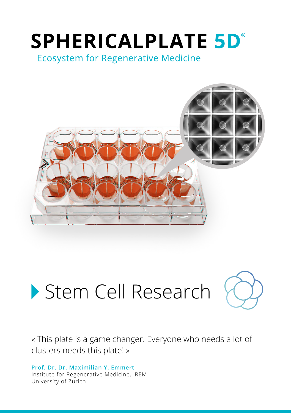# **SPHERICALPLATE 5D°**

**Ecosystem for Regenerative Medicine** 



## Stem Cell Research



« This plate is a game changer. Everyone who needs a lot of clusters needs this plate! »

**Prof. Dr. Dr. Maximilian Y. Emmert**  Institute for Regenerative Medicine, IREM University of Zurich